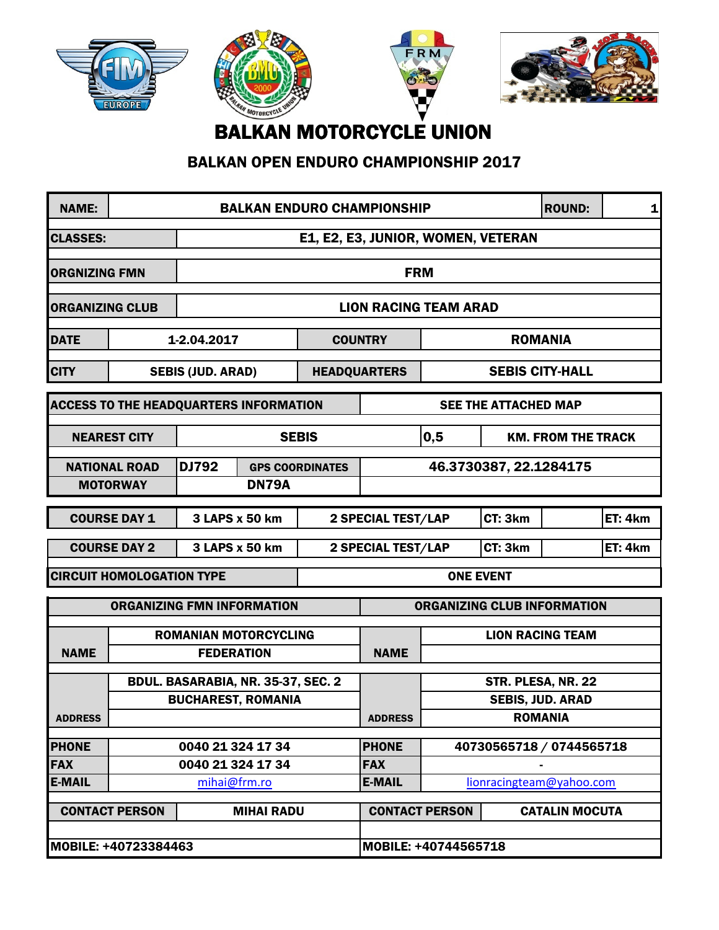







BALKAN MOTORCYCLE UNION

## BALKAN OPEN ENDURO CHAMPIONSHIP 2017

| <b>NAME:</b>                                              | <b>BALKAN ENDURO CHAMPIONSHIP</b>                                                          |                          |                                                 |                             |                                  |                        |                       | <b>ROUND:</b>                                 | $\mathbf{1}$ |
|-----------------------------------------------------------|--------------------------------------------------------------------------------------------|--------------------------|-------------------------------------------------|-----------------------------|----------------------------------|------------------------|-----------------------|-----------------------------------------------|--------------|
| <b>CLASSES:</b>                                           | E1, E2, E3, JUNIOR, WOMEN, VETERAN                                                         |                          |                                                 |                             |                                  |                        |                       |                                               |              |
| <b>ORGNIZING FMN</b>                                      |                                                                                            |                          |                                                 |                             | <b>FRM</b>                       |                        |                       |                                               |              |
| <b>ORGANIZING CLUB</b>                                    |                                                                                            |                          |                                                 |                             | <b>LION RACING TEAM ARAD</b>     |                        |                       |                                               |              |
| <b>DATE</b>                                               |                                                                                            | 1-2.04.2017              |                                                 |                             | <b>ROMANIA</b><br><b>COUNTRY</b> |                        |                       |                                               |              |
| <b>CITY</b>                                               |                                                                                            | <b>SEBIS (JUD. ARAD)</b> |                                                 |                             | <b>HEADQUARTERS</b>              | <b>SEBIS CITY-HALL</b> |                       |                                               |              |
|                                                           | <b>ACCESS TO THE HEADQUARTERS INFORMATION</b>                                              |                          |                                                 |                             | <b>SEE THE ATTACHED MAP</b>      |                        |                       |                                               |              |
|                                                           | <b>NEAREST CITY</b>                                                                        |                          |                                                 | <b>SEBIS</b>                |                                  | 0,5                    |                       | <b>KM. FROM THE TRACK</b>                     |              |
|                                                           | DJ792<br><b>NATIONAL ROAD</b><br><b>GPS COORDINATES</b><br><b>DN79A</b><br><b>MOTORWAY</b> |                          |                                                 |                             | 46.3730387, 22.1284175           |                        |                       |                                               |              |
| <b>COURSE DAY 1</b><br>3 LAPS x 50 km                     |                                                                                            |                          |                                                 | <b>2 SPECIAL TEST/LAP</b>   |                                  | CT: 3km                |                       | ET: 4km                                       |              |
| <b>COURSE DAY 2</b><br>3 LAPS x 50 km                     |                                                                                            |                          | CT: 3km<br>ET: 4km<br><b>2 SPECIAL TEST/LAP</b> |                             |                                  |                        |                       |                                               |              |
| <b>CIRCUIT HOMOLOGATION TYPE</b>                          |                                                                                            |                          |                                                 | <b>ONE EVENT</b>            |                                  |                        |                       |                                               |              |
| <b>ORGANIZING FMN INFORMATION</b>                         |                                                                                            |                          |                                                 |                             | ORGANIZING CLUB INFORMATION      |                        |                       |                                               |              |
| <b>NAME</b>                                               | <b>ROMANIAN MOTORCYCLING</b><br><b>FEDERATION</b>                                          |                          |                                                 |                             | <b>NAME</b>                      |                        |                       | <b>LION RACING TEAM</b>                       |              |
|                                                           | BDUL. BASARABIA, NR. 35-37, SEC. 2<br><b>BUCHAREST, ROMANIA</b>                            |                          |                                                 |                             |                                  |                        |                       | STR. PLESA, NR. 22<br><b>SEBIS, JUD. ARAD</b> |              |
| <b>ADDRESS</b>                                            |                                                                                            |                          |                                                 | <b>ADDRESS</b>              | <b>ROMANIA</b>                   |                        |                       |                                               |              |
| <b>PHONE</b>                                              | 0040 21 324 17 34                                                                          |                          |                                                 | <b>PHONE</b>                | 40730565718 / 0744565718         |                        |                       |                                               |              |
| <b>FAX</b>                                                | 0040 21 324 17 34                                                                          |                          |                                                 | <b>FAX</b><br><b>E-MAIL</b> |                                  |                        |                       |                                               |              |
| <b>E-MAIL</b><br>mihai@frm.ro<br>lionracingteam@yahoo.com |                                                                                            |                          |                                                 |                             |                                  |                        |                       |                                               |              |
| <b>MIHAI RADU</b><br><b>CONTACT PERSON</b>                |                                                                                            |                          |                                                 |                             | <b>CONTACT PERSON</b>            |                        | <b>CATALIN MOCUTA</b> |                                               |              |
| MOBILE: +40723384463                                      |                                                                                            |                          |                                                 | MOBILE: +40744565718        |                                  |                        |                       |                                               |              |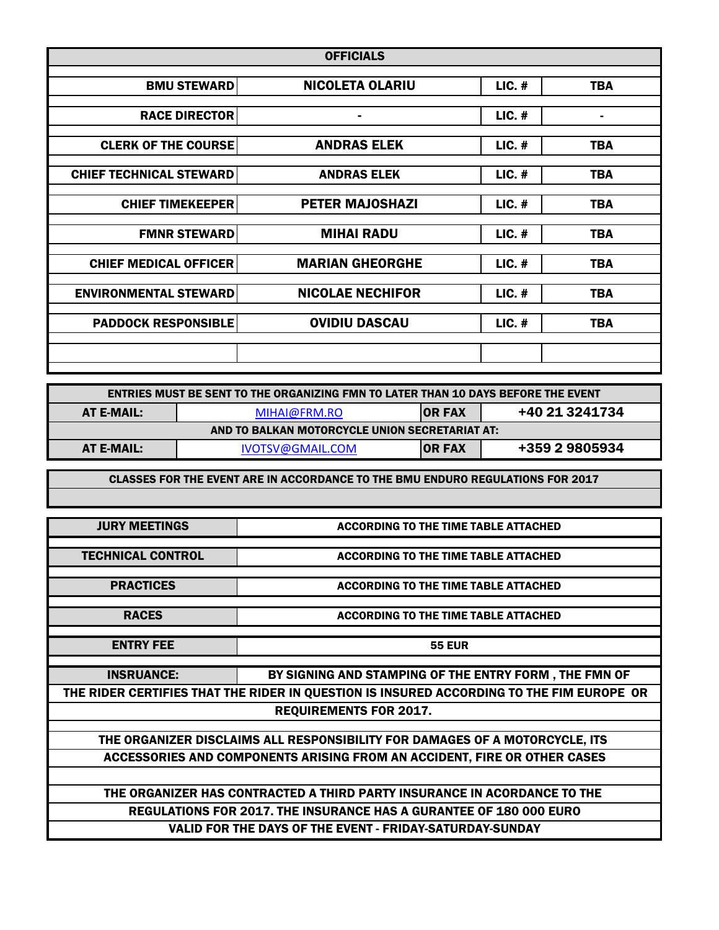| <b>OFFICIALS</b>               |                         |          |            |  |  |
|--------------------------------|-------------------------|----------|------------|--|--|
| <b>BMU STEWARD</b>             | <b>NICOLETA OLARIU</b>  | $LIC.$ # | <b>TBA</b> |  |  |
|                                |                         |          |            |  |  |
| <b>RACE DIRECTOR</b>           | ۰                       | $LIC.$ # | ۰          |  |  |
|                                |                         |          |            |  |  |
| <b>CLERK OF THE COURSE</b>     | <b>ANDRAS ELEK</b>      | $LIC.$ # | <b>TBA</b> |  |  |
|                                |                         |          |            |  |  |
| <b>CHIEF TECHNICAL STEWARD</b> | <b>ANDRAS ELEK</b>      | $LIC.$ # | <b>TBA</b> |  |  |
|                                |                         |          |            |  |  |
| <b>CHIEF TIMEKEEPER</b>        | <b>PETER MAJOSHAZI</b>  | $LIC.$ # | <b>TBA</b> |  |  |
|                                |                         |          |            |  |  |
| <b>FMNR STEWARD</b>            | <b>MIHAI RADU</b>       | $LIC.$ # | <b>TBA</b> |  |  |
|                                |                         |          |            |  |  |
| <b>CHIEF MEDICAL OFFICER</b>   | <b>MARIAN GHEORGHE</b>  | $LIC.$ # | <b>TBA</b> |  |  |
|                                |                         |          |            |  |  |
| <b>ENVIRONMENTAL STEWARD</b>   | <b>NICOLAE NECHIFOR</b> | $LIC.$ # | <b>TBA</b> |  |  |
|                                |                         |          |            |  |  |
| <b>PADDOCK RESPONSIBLE</b>     | <b>OVIDIU DASCAU</b>    | $LIC.$ # | <b>TBA</b> |  |  |
|                                |                         |          |            |  |  |
|                                |                         |          |            |  |  |
|                                |                         |          |            |  |  |

| <b>ENTRIES MUST BE SENT TO THE ORGANIZING FMN TO LATER THAN 10 DAYS BEFORE THE EVENT</b> |                  |                                  |                |  |  |
|------------------------------------------------------------------------------------------|------------------|----------------------------------|----------------|--|--|
| AT E-MAIL:                                                                               | MIHAI@FRM.RO     | +40 21 3241734<br><b>IOR FAX</b> |                |  |  |
| AND TO BALKAN MOTORCYCLE UNION SECRETARIAT AT:                                           |                  |                                  |                |  |  |
| AT E-MAIL:                                                                               | IVOTSV@GMAIL.COM | <b>IOR FAX</b>                   | +359 2 9805934 |  |  |

CLASSES FOR THE EVENT ARE IN ACCORDANCE TO THE BMU ENDURO REGULATIONS FOR 2017

| <b>JURY MEETINGS</b>                                                                     | <b>ACCORDING TO THE TIME TABLE ATTACHED</b>                                 |  |  |  |  |  |
|------------------------------------------------------------------------------------------|-----------------------------------------------------------------------------|--|--|--|--|--|
|                                                                                          |                                                                             |  |  |  |  |  |
| <b>TECHNICAL CONTROL</b>                                                                 | <b>ACCORDING TO THE TIME TABLE ATTACHED</b>                                 |  |  |  |  |  |
|                                                                                          |                                                                             |  |  |  |  |  |
| <b>PRACTICES</b>                                                                         | <b>ACCORDING TO THE TIME TABLE ATTACHED</b>                                 |  |  |  |  |  |
|                                                                                          |                                                                             |  |  |  |  |  |
| <b>RACES</b>                                                                             | <b>ACCORDING TO THE TIME TABLE ATTACHED</b>                                 |  |  |  |  |  |
|                                                                                          |                                                                             |  |  |  |  |  |
| <b>ENTRY FEE</b>                                                                         | <b>55 EUR</b>                                                               |  |  |  |  |  |
|                                                                                          |                                                                             |  |  |  |  |  |
| <b>INSRUANCE:</b>                                                                        | BY SIGNING AND STAMPING OF THE ENTRY FORM, THE FMN OF                       |  |  |  |  |  |
| THE RIDER CERTIFIES THAT THE RIDER IN QUESTION IS INSURED ACCORDING TO THE FIM EUROPE OR |                                                                             |  |  |  |  |  |
| <b>REQUIREMENTS FOR 2017.</b>                                                            |                                                                             |  |  |  |  |  |
|                                                                                          |                                                                             |  |  |  |  |  |
|                                                                                          | THE ORGANIZER DISCLAIMS ALL RESPONSIBILITY FOR DAMAGES OF A MOTORCYCLE, ITS |  |  |  |  |  |
| ACCESSORIES AND COMPONENTS ARISING FROM AN ACCIDENT, FIRE OR OTHER CASES                 |                                                                             |  |  |  |  |  |
|                                                                                          |                                                                             |  |  |  |  |  |
| THE ORGANIZER HAS CONTRACTED A THIRD PARTY INSURANCE IN ACORDANCE TO THE                 |                                                                             |  |  |  |  |  |
| <b>REGULATIONS FOR 2017. THE INSURANCE HAS A GURANTEE OF 180 000 EURO</b>                |                                                                             |  |  |  |  |  |
| <b>VALID FOR THE DAYS OF THE EVENT - FRIDAY-SATURDAY-SUNDAY</b>                          |                                                                             |  |  |  |  |  |